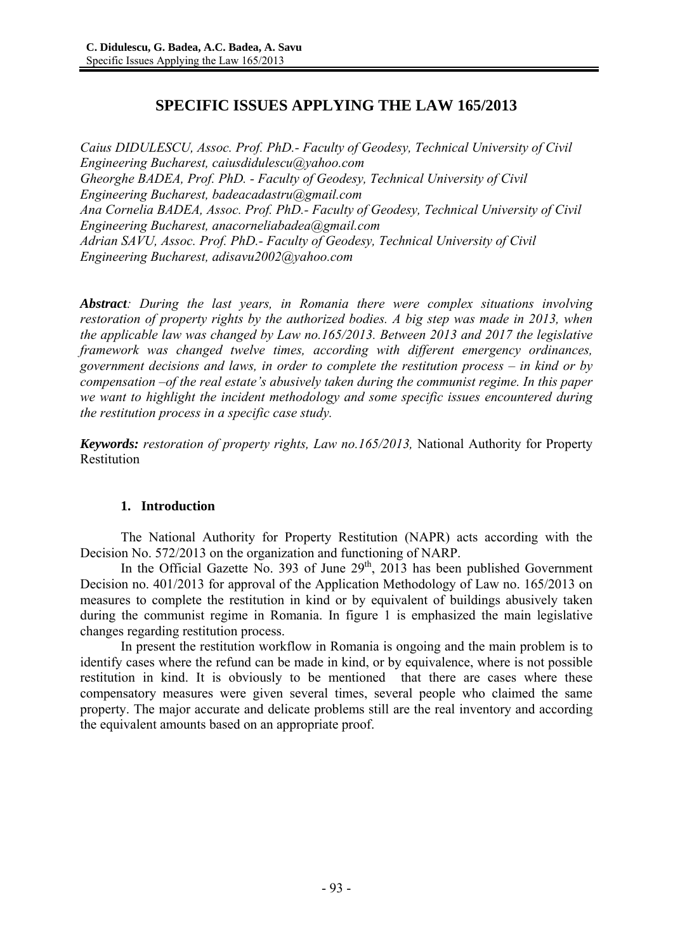# **SPECIFIC ISSUES APPLYING THE LAW 165/2013**

*Caius DIDULESCU, Assoc. Prof. PhD.- Faculty of Geodesy, Technical University of Civil Engineering Bucharest, caiusdidulescu@yahoo.com Gheorghe BADEA, Prof. PhD. - Faculty of Geodesy, Technical University of Civil Engineering Bucharest, badeacadastru@gmail.com Ana Cornelia BADEA, Assoc. Prof. PhD.- Faculty of Geodesy, Technical University of Civil Engineering Bucharest, anacorneliabadea@gmail.com Adrian SAVU, Assoc. Prof. PhD.- Faculty of Geodesy, Technical University of Civil Engineering Bucharest, adisavu2002@yahoo.com* 

*Abstract: During the last years, in Romania there were complex situations involving restoration of property rights by the authorized bodies. A big step was made in 2013, when the applicable law was changed by Law no.165/2013. Between 2013 and 2017 the legislative framework was changed twelve times, according with different emergency ordinances, government decisions and laws, in order to complete the restitution process – in kind or by compensation –of the real estate's abusively taken during the communist regime. In this paper we want to highlight the incident methodology and some specific issues encountered during the restitution process in a specific case study.* 

*Keywords: restoration of property rights, Law no.165/2013,* National Authority for Property Restitution

#### **1. Introduction**

The National Authority for Property Restitution (NAPR) acts according with the Decision No. 572/2013 on the organization and functioning of NARP.

In the Official Gazette No. 393 of June  $29<sup>th</sup>$ , 2013 has been published Government Decision no. 401/2013 for approval of the Application Methodology of Law no. 165/2013 on measures to complete the restitution in kind or by equivalent of buildings abusively taken during the communist regime in Romania. In figure 1 is emphasized the main legislative changes regarding restitution process.

In present the restitution workflow in Romania is ongoing and the main problem is to identify cases where the refund can be made in kind, or by equivalence, where is not possible restitution in kind. It is obviously to be mentioned that there are cases where these compensatory measures were given several times, several people who claimed the same property. The major accurate and delicate problems still are the real inventory and according the equivalent amounts based on an appropriate proof.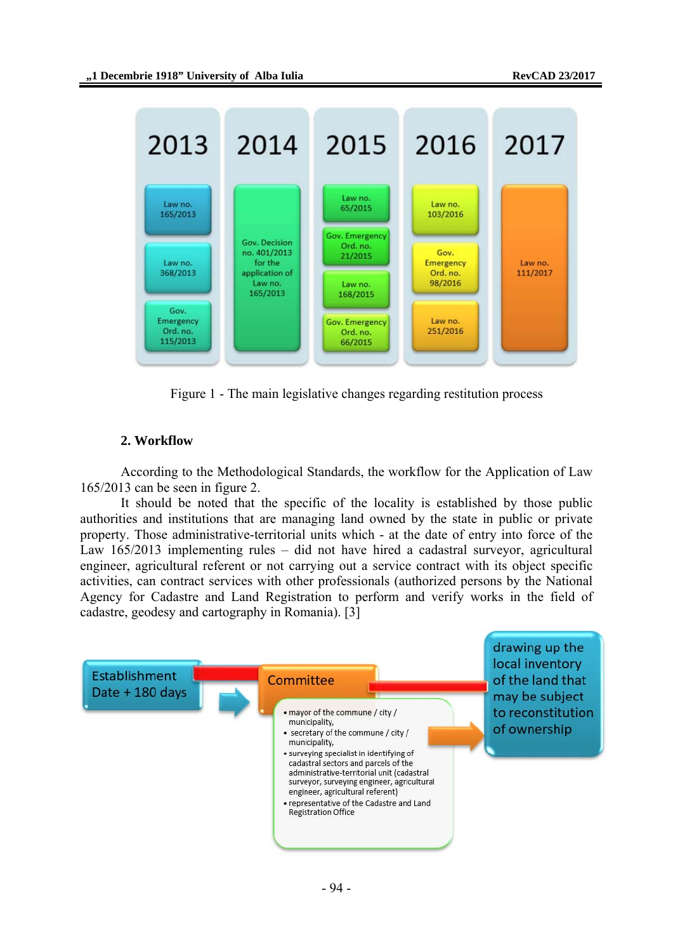

Figure 1 - The main legislative changes regarding restitution process

## **2. Workflow**

According to the Methodological Standards, the workflow for the Application of Law 165/2013 can be seen in figure 2.

It should be noted that the specific of the locality is established by those public authorities and institutions that are managing land owned by the state in public or private property. Those administrative-territorial units which - at the date of entry into force of the Law 165/2013 implementing rules – did not have hired a cadastral surveyor, agricultural engineer, agricultural referent or not carrying out a service contract with its object specific activities, can contract services with other professionals (authorized persons by the National Agency for Cadastre and Land Registration to perform and verify works in the field of cadastre, geodesy and cartography in Romania). [3]

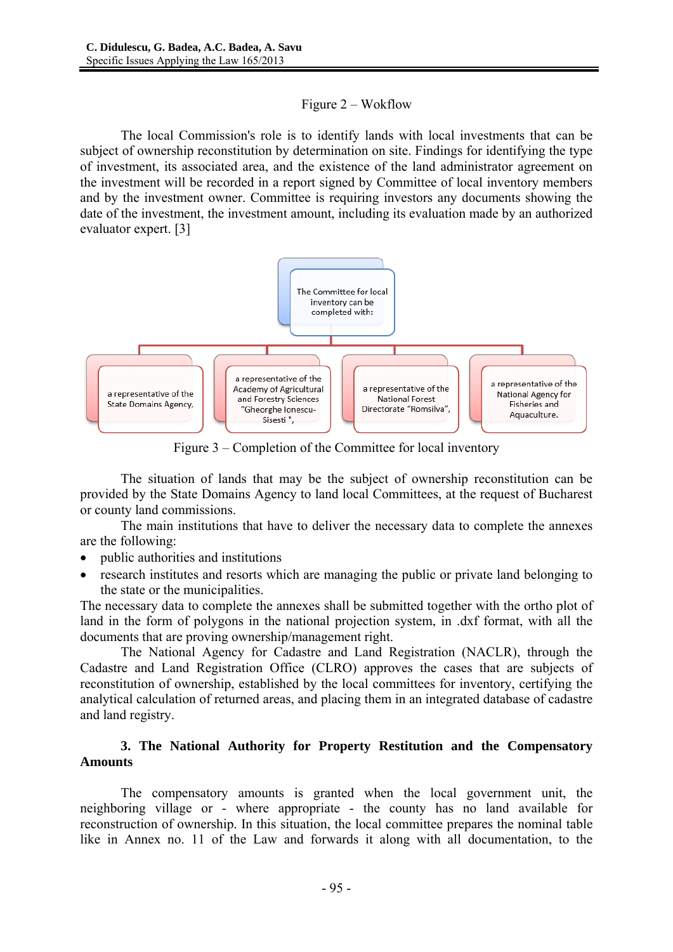## Figure 2 – Wokflow

The local Commission's role is to identify lands with local investments that can be subject of ownership reconstitution by determination on site. Findings for identifying the type of investment, its associated area, and the existence of the land administrator agreement on the investment will be recorded in a report signed by Committee of local inventory members and by the investment owner. Committee is requiring investors any documents showing the date of the investment, the investment amount, including its evaluation made by an authorized evaluator expert. [3]



Figure 3 – Completion of the Committee for local inventory

The situation of lands that may be the subject of ownership reconstitution can be provided by the State Domains Agency to land local Committees, at the request of Bucharest or county land commissions.

The main institutions that have to deliver the necessary data to complete the annexes are the following:

- public authorities and institutions
- research institutes and resorts which are managing the public or private land belonging to the state or the municipalities.

The necessary data to complete the annexes shall be submitted together with the ortho plot of land in the form of polygons in the national projection system, in .dxf format, with all the documents that are proving ownership/management right.

The National Agency for Cadastre and Land Registration (NACLR), through the Cadastre and Land Registration Office (CLRO) approves the cases that are subjects of reconstitution of ownership, established by the local committees for inventory, certifying the analytical calculation of returned areas, and placing them in an integrated database of cadastre and land registry.

# **3. The National Authority for Property Restitution and the Compensatory Amounts**

The compensatory amounts is granted when the local government unit, the neighboring village or - where appropriate - the county has no land available for reconstruction of ownership. In this situation, the local committee prepares the nominal table like in Annex no. 11 of the Law and forwards it along with all documentation, to the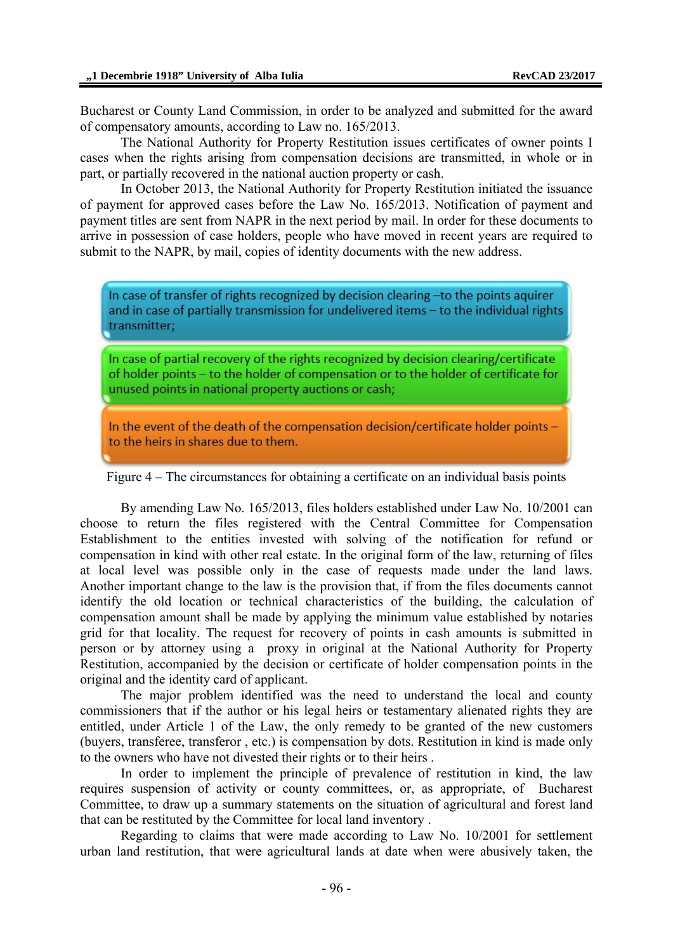Bucharest or County Land Commission, in order to be analyzed and submitted for the award of compensatory amounts, according to Law no. 165/2013.

The National Authority for Property Restitution issues certificates of owner points I cases when the rights arising from compensation decisions are transmitted, in whole or in part, or partially recovered in the national auction property or cash.

In October 2013, the National Authority for Property Restitution initiated the issuance of payment for approved cases before the Law No. 165/2013. Notification of payment and payment titles are sent from NAPR in the next period by mail. In order for these documents to arrive in possession of case holders, people who have moved in recent years are required to submit to the NAPR, by mail, copies of identity documents with the new address.

In case of transfer of rights recognized by decision clearing -to the points aguirer and in case of partially transmission for undelivered items - to the individual rights transmitter;

In case of partial recovery of the rights recognized by decision clearing/certificate of holder points - to the holder of compensation or to the holder of certificate for unused points in national property auctions or cash;

In the event of the death of the compensation decision/certificate holder points to the heirs in shares due to them.

Figure 4 – The circumstances for obtaining a certificate on an individual basis points

By amending Law No. 165/2013, files holders established under Law No. 10/2001 can choose to return the files registered with the Central Committee for Compensation Establishment to the entities invested with solving of the notification for refund or compensation in kind with other real estate. In the original form of the law, returning of files at local level was possible only in the case of requests made under the land laws. Another important change to the law is the provision that, if from the files documents cannot identify the old location or technical characteristics of the building, the calculation of compensation amount shall be made by applying the minimum value established by notaries grid for that locality. The request for recovery of points in cash amounts is submitted in person or by attorney using a proxy in original at the National Authority for Property Restitution, accompanied by the decision or certificate of holder compensation points in the original and the identity card of applicant.

The major problem identified was the need to understand the local and county commissioners that if the author or his legal heirs or testamentary alienated rights they are entitled, under Article 1 of the Law, the only remedy to be granted of the new customers (buyers, transferee, transferor , etc.) is compensation by dots. Restitution in kind is made only to the owners who have not divested their rights or to their heirs .

In order to implement the principle of prevalence of restitution in kind, the law requires suspension of activity or county committees, or, as appropriate, of Bucharest Committee, to draw up a summary statements on the situation of agricultural and forest land that can be restituted by the Committee for local land inventory .

Regarding to claims that were made according to Law No. 10/2001 for settlement urban land restitution, that were agricultural lands at date when were abusively taken, the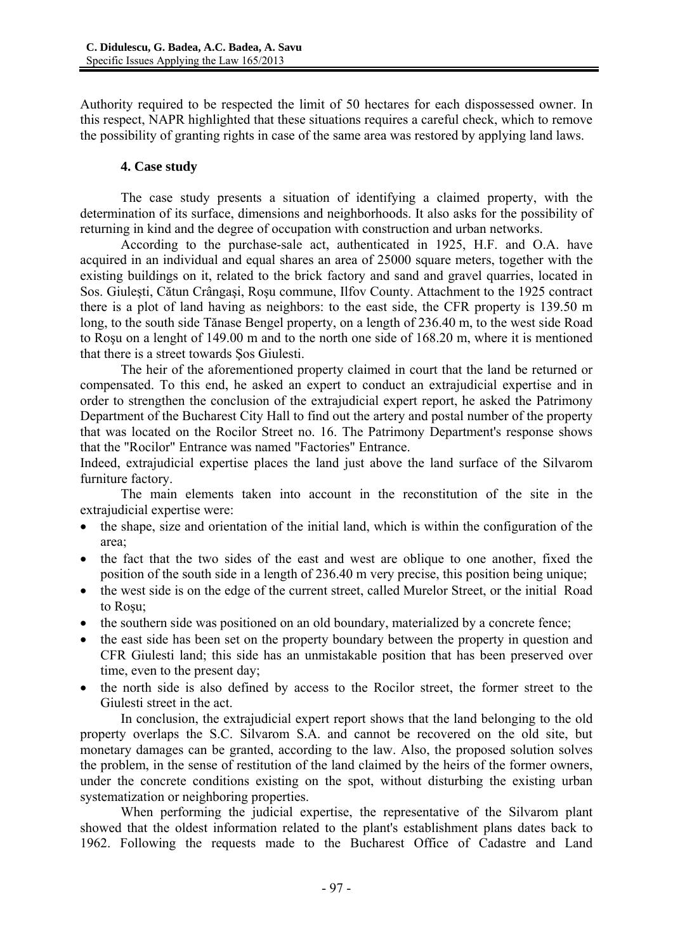Authority required to be respected the limit of 50 hectares for each dispossessed owner. In this respect, NAPR highlighted that these situations requires a careful check, which to remove the possibility of granting rights in case of the same area was restored by applying land laws.

#### **4. Case study**

The case study presents a situation of identifying a claimed property, with the determination of its surface, dimensions and neighborhoods. It also asks for the possibility of returning in kind and the degree of occupation with construction and urban networks.

According to the purchase-sale act, authenticated in 1925, H.F. and O.A. have acquired in an individual and equal shares an area of 25000 square meters, together with the existing buildings on it, related to the brick factory and sand and gravel quarries, located in Sos. Giuleşti, Cătun Crângaşi, Roşu commune, Ilfov County. Attachment to the 1925 contract there is a plot of land having as neighbors: to the east side, the CFR property is 139.50 m long, to the south side Tănase Bengel property, on a length of 236.40 m, to the west side Road to Roşu on a lenght of 149.00 m and to the north one side of 168.20 m, where it is mentioned that there is a street towards Şos Giulesti.

The heir of the aforementioned property claimed in court that the land be returned or compensated. To this end, he asked an expert to conduct an extrajudicial expertise and in order to strengthen the conclusion of the extrajudicial expert report, he asked the Patrimony Department of the Bucharest City Hall to find out the artery and postal number of the property that was located on the Rocilor Street no. 16. The Patrimony Department's response shows that the "Rocilor" Entrance was named "Factories" Entrance.

Indeed, extrajudicial expertise places the land just above the land surface of the Silvarom furniture factory.

The main elements taken into account in the reconstitution of the site in the extrajudicial expertise were:

- the shape, size and orientation of the initial land, which is within the configuration of the area;
- the fact that the two sides of the east and west are oblique to one another, fixed the position of the south side in a length of 236.40 m very precise, this position being unique;
- the west side is on the edge of the current street, called Murelor Street, or the initial Road to Roşu;
- the southern side was positioned on an old boundary, materialized by a concrete fence;
- the east side has been set on the property boundary between the property in question and CFR Giulesti land; this side has an unmistakable position that has been preserved over time, even to the present day;
- the north side is also defined by access to the Rocilor street, the former street to the Giulesti street in the act.

In conclusion, the extrajudicial expert report shows that the land belonging to the old property overlaps the S.C. Silvarom S.A. and cannot be recovered on the old site, but monetary damages can be granted, according to the law. Also, the proposed solution solves the problem, in the sense of restitution of the land claimed by the heirs of the former owners, under the concrete conditions existing on the spot, without disturbing the existing urban systematization or neighboring properties.

When performing the judicial expertise, the representative of the Silvarom plant showed that the oldest information related to the plant's establishment plans dates back to 1962. Following the requests made to the Bucharest Office of Cadastre and Land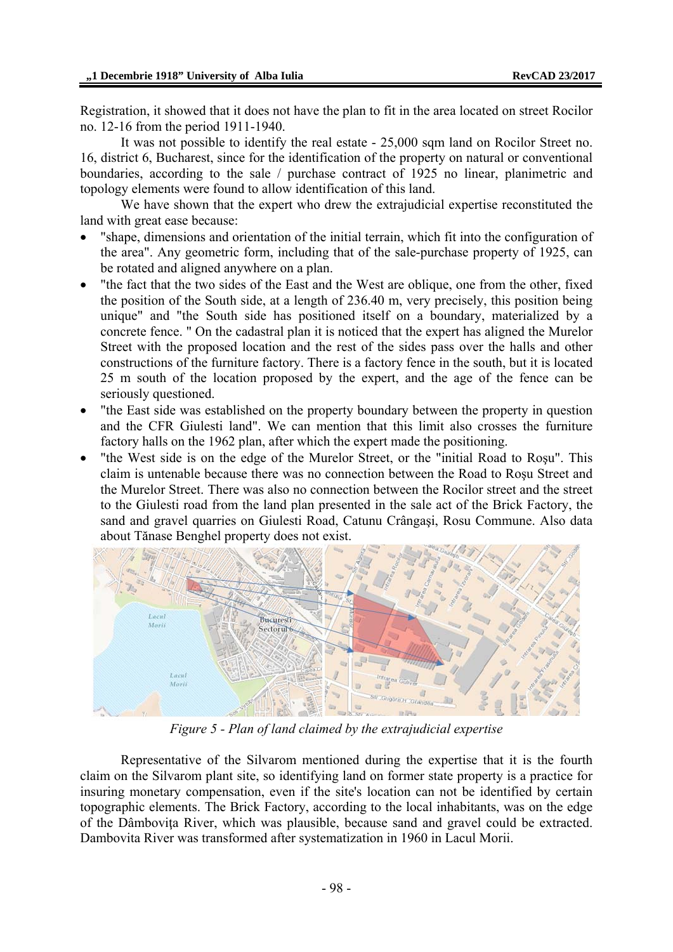Registration, it showed that it does not have the plan to fit in the area located on street Rocilor no. 12-16 from the period 1911-1940.

It was not possible to identify the real estate - 25,000 sqm land on Rocilor Street no. 16, district 6, Bucharest, since for the identification of the property on natural or conventional boundaries, according to the sale / purchase contract of 1925 no linear, planimetric and topology elements were found to allow identification of this land.

We have shown that the expert who drew the extrajudicial expertise reconstituted the land with great ease because:

- "shape, dimensions and orientation of the initial terrain, which fit into the configuration of the area". Any geometric form, including that of the sale-purchase property of 1925, can be rotated and aligned anywhere on a plan.
- "the fact that the two sides of the East and the West are oblique, one from the other, fixed the position of the South side, at a length of 236.40 m, very precisely, this position being unique" and "the South side has positioned itself on a boundary, materialized by a concrete fence. " On the cadastral plan it is noticed that the expert has aligned the Murelor Street with the proposed location and the rest of the sides pass over the halls and other constructions of the furniture factory. There is a factory fence in the south, but it is located 25 m south of the location proposed by the expert, and the age of the fence can be seriously questioned.
- "the East side was established on the property boundary between the property in question and the CFR Giulesti land". We can mention that this limit also crosses the furniture factory halls on the 1962 plan, after which the expert made the positioning.
- "the West side is on the edge of the Murelor Street, or the "initial Road to Roşu". This claim is untenable because there was no connection between the Road to Rosu Street and the Murelor Street. There was also no connection between the Rocilor street and the street to the Giulesti road from the land plan presented in the sale act of the Brick Factory, the sand and gravel quarries on Giulesti Road, Catunu Crângaşi, Rosu Commune. Also data about Tănase Benghel property does not exist.



*Figure 5 - Plan of land claimed by the extrajudicial expertise* 

Representative of the Silvarom mentioned during the expertise that it is the fourth claim on the Silvarom plant site, so identifying land on former state property is a practice for insuring monetary compensation, even if the site's location can not be identified by certain topographic elements. The Brick Factory, according to the local inhabitants, was on the edge of the Dâmboviţa River, which was plausible, because sand and gravel could be extracted. Dambovita River was transformed after systematization in 1960 in Lacul Morii.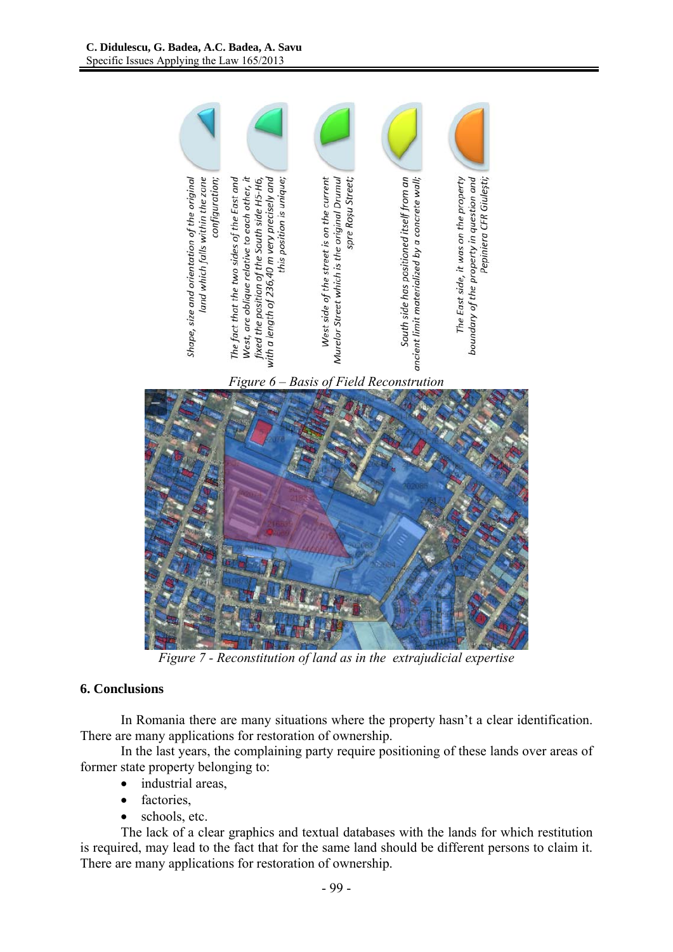



 *Figure 7 - Reconstitution of land as in the extrajudicial expertise* 

# **6. Conclusions**

In Romania there are many situations where the property hasn't a clear identification. There are many applications for restoration of ownership.

In the last years, the complaining party require positioning of these lands over areas of former state property belonging to:

- industrial areas,
- factories,
- schools, etc.

The lack of a clear graphics and textual databases with the lands for which restitution is required, may lead to the fact that for the same land should be different persons to claim it. There are many applications for restoration of ownership.